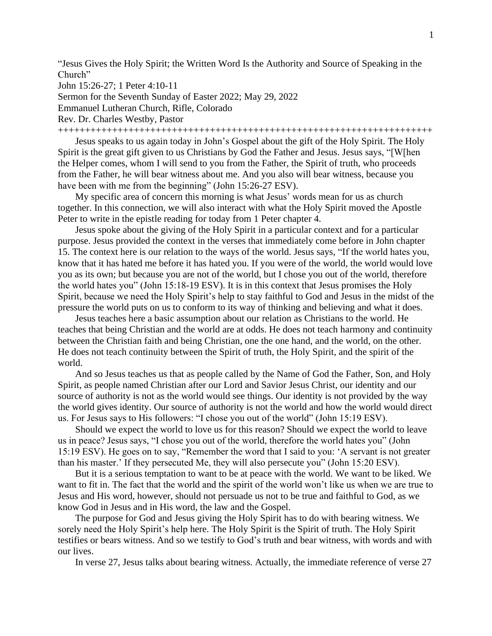"Jesus Gives the Holy Spirit; the Written Word Is the Authority and Source of Speaking in the Church"

John 15:26-27; 1 Peter 4:10-11

Sermon for the Seventh Sunday of Easter 2022; May 29, 2022

Emmanuel Lutheran Church, Rifle, Colorado

Rev. Dr. Charles Westby, Pastor

+++++++++++++++++++++++++++++++++++++++++++++++++++++++++++++++++++++

Jesus speaks to us again today in John's Gospel about the gift of the Holy Spirit. The Holy Spirit is the great gift given to us Christians by God the Father and Jesus. Jesus says, "[W[hen the Helper comes, whom I will send to you from the Father, the Spirit of truth, who proceeds from the Father, he will bear witness about me. And you also will bear witness, because you have been with me from the beginning" (John 15:26-27 ESV).

My specific area of concern this morning is what Jesus' words mean for us as church together. In this connection, we will also interact with what the Holy Spirit moved the Apostle Peter to write in the epistle reading for today from 1 Peter chapter 4.

Jesus spoke about the giving of the Holy Spirit in a particular context and for a particular purpose. Jesus provided the context in the verses that immediately come before in John chapter 15. The context here is our relation to the ways of the world. Jesus says, "If the world hates you, know that it has hated me before it has hated you. If you were of the world, the world would love you as its own; but because you are not of the world, but I chose you out of the world, therefore the world hates you" (John 15:18-19 ESV). It is in this context that Jesus promises the Holy Spirit, because we need the Holy Spirit's help to stay faithful to God and Jesus in the midst of the pressure the world puts on us to conform to its way of thinking and believing and what it does.

Jesus teaches here a basic assumption about our relation as Christians to the world. He teaches that being Christian and the world are at odds. He does not teach harmony and continuity between the Christian faith and being Christian, one the one hand, and the world, on the other. He does not teach continuity between the Spirit of truth, the Holy Spirit, and the spirit of the world.

And so Jesus teaches us that as people called by the Name of God the Father, Son, and Holy Spirit, as people named Christian after our Lord and Savior Jesus Christ, our identity and our source of authority is not as the world would see things. Our identity is not provided by the way the world gives identity. Our source of authority is not the world and how the world would direct us. For Jesus says to His followers: "I chose you out of the world" (John 15:19 ESV).

Should we expect the world to love us for this reason? Should we expect the world to leave us in peace? Jesus says, "I chose you out of the world, therefore the world hates you" (John 15:19 ESV). He goes on to say, "Remember the word that I said to you: 'A servant is not greater than his master.' If they persecuted Me, they will also persecute you" (John 15:20 ESV).

But it is a serious temptation to want to be at peace with the world. We want to be liked. We want to fit in. The fact that the world and the spirit of the world won't like us when we are true to Jesus and His word, however, should not persuade us not to be true and faithful to God, as we know God in Jesus and in His word, the law and the Gospel.

The purpose for God and Jesus giving the Holy Spirit has to do with bearing witness. We sorely need the Holy Spirit's help here. The Holy Spirit is the Spirit of truth. The Holy Spirit testifies or bears witness. And so we testify to God's truth and bear witness, with words and with our lives.

In verse 27, Jesus talks about bearing witness. Actually, the immediate reference of verse 27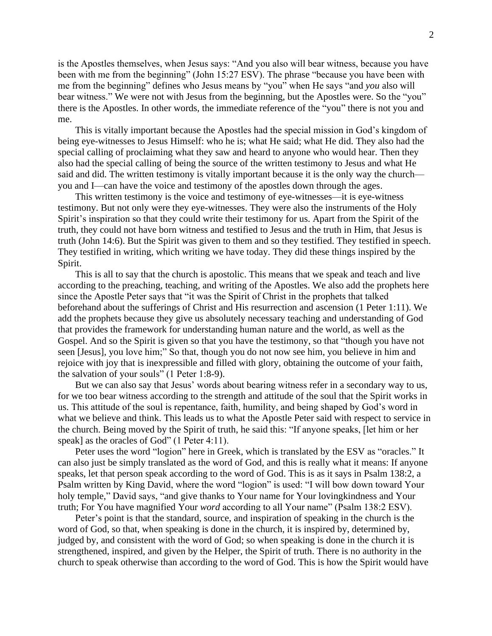is the Apostles themselves, when Jesus says: "And you also will bear witness, because you have been with me from the beginning" (John 15:27 ESV). The phrase "because you have been with me from the beginning" defines who Jesus means by "you" when He says "and *you* also will bear witness." We were not with Jesus from the beginning, but the Apostles were. So the "you" there is the Apostles. In other words, the immediate reference of the "you" there is not you and me.

This is vitally important because the Apostles had the special mission in God's kingdom of being eye-witnesses to Jesus Himself: who he is; what He said; what He did. They also had the special calling of proclaiming what they saw and heard to anyone who would hear. Then they also had the special calling of being the source of the written testimony to Jesus and what He said and did. The written testimony is vitally important because it is the only way the church you and I—can have the voice and testimony of the apostles down through the ages.

This written testimony is the voice and testimony of eye-witnesses—it is eye-witness testimony. But not only were they eye-witnesses. They were also the instruments of the Holy Spirit's inspiration so that they could write their testimony for us. Apart from the Spirit of the truth, they could not have born witness and testified to Jesus and the truth in Him, that Jesus is truth (John 14:6). But the Spirit was given to them and so they testified. They testified in speech. They testified in writing, which writing we have today. They did these things inspired by the Spirit.

This is all to say that the church is apostolic. This means that we speak and teach and live according to the preaching, teaching, and writing of the Apostles. We also add the prophets here since the Apostle Peter says that "it was the Spirit of Christ in the prophets that talked beforehand about the sufferings of Christ and His resurrection and ascension (1 Peter 1:11). We add the prophets because they give us absolutely necessary teaching and understanding of God that provides the framework for understanding human nature and the world, as well as the Gospel. And so the Spirit is given so that you have the testimony, so that "though you have not seen [Jesus], you love him;" So that, though you do not now see him, you believe in him and rejoice with joy that is inexpressible and filled with glory, obtaining the outcome of your faith, the salvation of your souls" (1 Peter 1:8-9).

But we can also say that Jesus' words about bearing witness refer in a secondary way to us, for we too bear witness according to the strength and attitude of the soul that the Spirit works in us. This attitude of the soul is repentance, faith, humility, and being shaped by God's word in what we believe and think. This leads us to what the Apostle Peter said with respect to service in the church. Being moved by the Spirit of truth, he said this: "If anyone speaks, [let him or her speak] as the oracles of God" (1 Peter 4:11).

Peter uses the word "logion" here in Greek, which is translated by the ESV as "oracles." It can also just be simply translated as the word of God, and this is really what it means: If anyone speaks, let that person speak according to the word of God. This is as it says in Psalm 138:2, a Psalm written by King David, where the word "logion" is used: "I will bow down toward Your holy temple," David says, "and give thanks to Your name for Your lovingkindness and Your truth; For You have magnified Your *word* according to all Your name" (Psalm 138:2 ESV).

Peter's point is that the standard, source, and inspiration of speaking in the church is the word of God, so that, when speaking is done in the church, it is inspired by, determined by, judged by, and consistent with the word of God; so when speaking is done in the church it is strengthened, inspired, and given by the Helper, the Spirit of truth. There is no authority in the church to speak otherwise than according to the word of God. This is how the Spirit would have